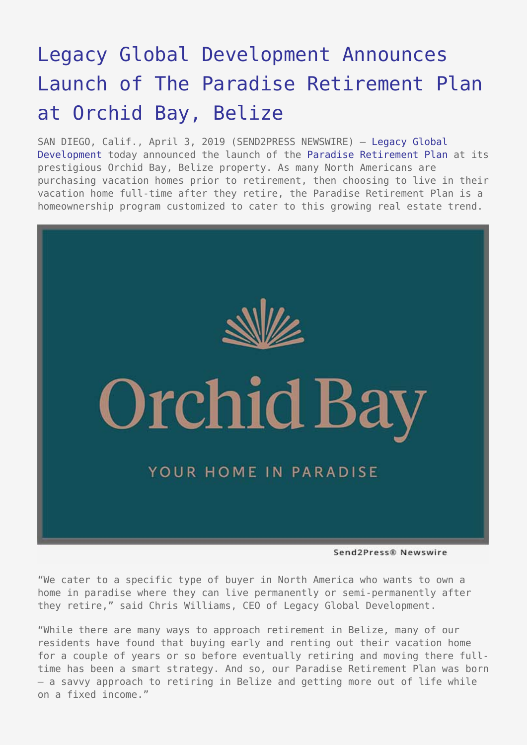## [Legacy Global Development Announces](https://www.send2press.com/wire/legacy-global-development-announces-launch-of-the-paradise-retirement-plan-at-orchid-bay-belize/) [Launch of The Paradise Retirement Plan](https://www.send2press.com/wire/legacy-global-development-announces-launch-of-the-paradise-retirement-plan-at-orchid-bay-belize/) [at Orchid Bay, Belize](https://www.send2press.com/wire/legacy-global-development-announces-launch-of-the-paradise-retirement-plan-at-orchid-bay-belize/)

SAN DIEGO, Calif., April 3, 2019 (SEND2PRESS NEWSWIRE) — [Legacy Global](https://legacyglobaldevelopment.com/) [Development](https://legacyglobaldevelopment.com/) today announced the launch of the [Paradise Retirement Plan](https://offers.orchidbaybelize.com/bungalows) at its prestigious Orchid Bay, Belize property. As many North Americans are purchasing vacation homes prior to retirement, then choosing to live in their vacation home full-time after they retire, the Paradise Retirement Plan is a homeownership program customized to cater to this growing real estate trend.



Send2Press® Newswire

"We cater to a specific type of buyer in North America who wants to own a home in paradise where they can live permanently or semi-permanently after they retire," said Chris Williams, CEO of Legacy Global Development.

"While there are many ways to approach retirement in Belize, many of our residents have found that buying early and renting out their vacation home for a couple of years or so before eventually retiring and moving there fulltime has been a smart strategy. And so, our Paradise Retirement Plan was born — a savvy approach to retiring in Belize and getting more out of life while on a fixed income."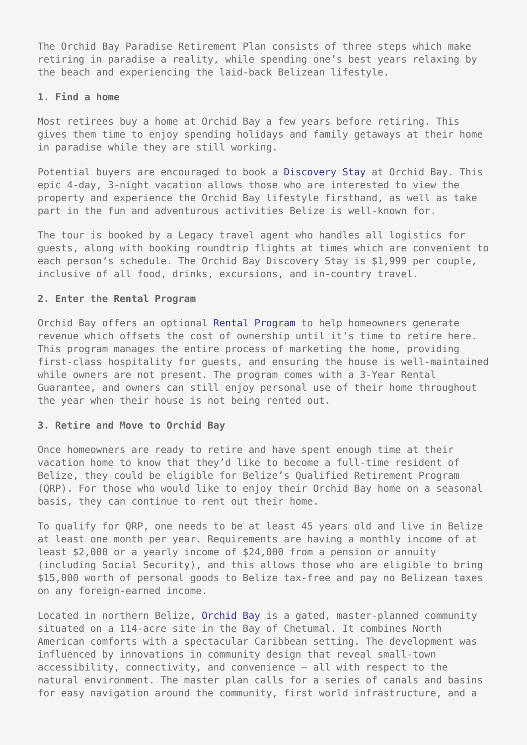The Orchid Bay Paradise Retirement Plan consists of three steps which make retiring in paradise a reality, while spending one's best years relaxing by the beach and experiencing the laid-back Belizean lifestyle.

## **1. Find a home**

Most retirees buy a home at Orchid Bay a few years before retiring. This gives them time to enjoy spending holidays and family getaways at their home in paradise while they are still working.

Potential buyers are encouraged to book a [Discovery Stay](https://offers.orchidbaybelize.com/bungalows) at Orchid Bay. This epic 4-day, 3-night vacation allows those who are interested to view the property and experience the Orchid Bay lifestyle firsthand, as well as take part in the fun and adventurous activities Belize is well-known for.

The tour is booked by a Legacy travel agent who handles all logistics for guests, along with booking roundtrip flights at times which are convenient to each person's schedule. The Orchid Bay Discovery Stay is \$1,999 per couple, inclusive of all food, drinks, excursions, and in-country travel.

## **2. Enter the Rental Program**

Orchid Bay offers an optional [Rental Program](https://offers.orchidbaybelize.com/bungalows) to help homeowners generate revenue which offsets the cost of ownership until it's time to retire here. This program manages the entire process of marketing the home, providing first-class hospitality for guests, and ensuring the house is well-maintained while owners are not present. The program comes with a 3-Year Rental Guarantee, and owners can still enjoy personal use of their home throughout the year when their house is not being rented out.

## **3. Retire and Move to Orchid Bay**

Once homeowners are ready to retire and have spent enough time at their vacation home to know that they'd like to become a full-time resident of Belize, they could be eligible for Belize's Qualified Retirement Program (QRP). For those who would like to enjoy their Orchid Bay home on a seasonal basis, they can continue to rent out their home.

To qualify for QRP, one needs to be at least 45 years old and live in Belize at least one month per year. Requirements are having a monthly income of at least \$2,000 or a yearly income of \$24,000 from a pension or annuity (including Social Security), and this allows those who are eligible to bring \$15,000 worth of personal goods to Belize tax-free and pay no Belizean taxes on any foreign-earned income.

Located in northern Belize, [Orchid Bay](https://orchidbaybelize.com/) is a gated, master-planned community situated on a 114-acre site in the Bay of Chetumal. It combines North American comforts with a spectacular Caribbean setting. The development was influenced by innovations in community design that reveal small-town accessibility, connectivity, and convenience — all with respect to the natural environment. The master plan calls for a series of canals and basins for easy navigation around the community, first world infrastructure, and a